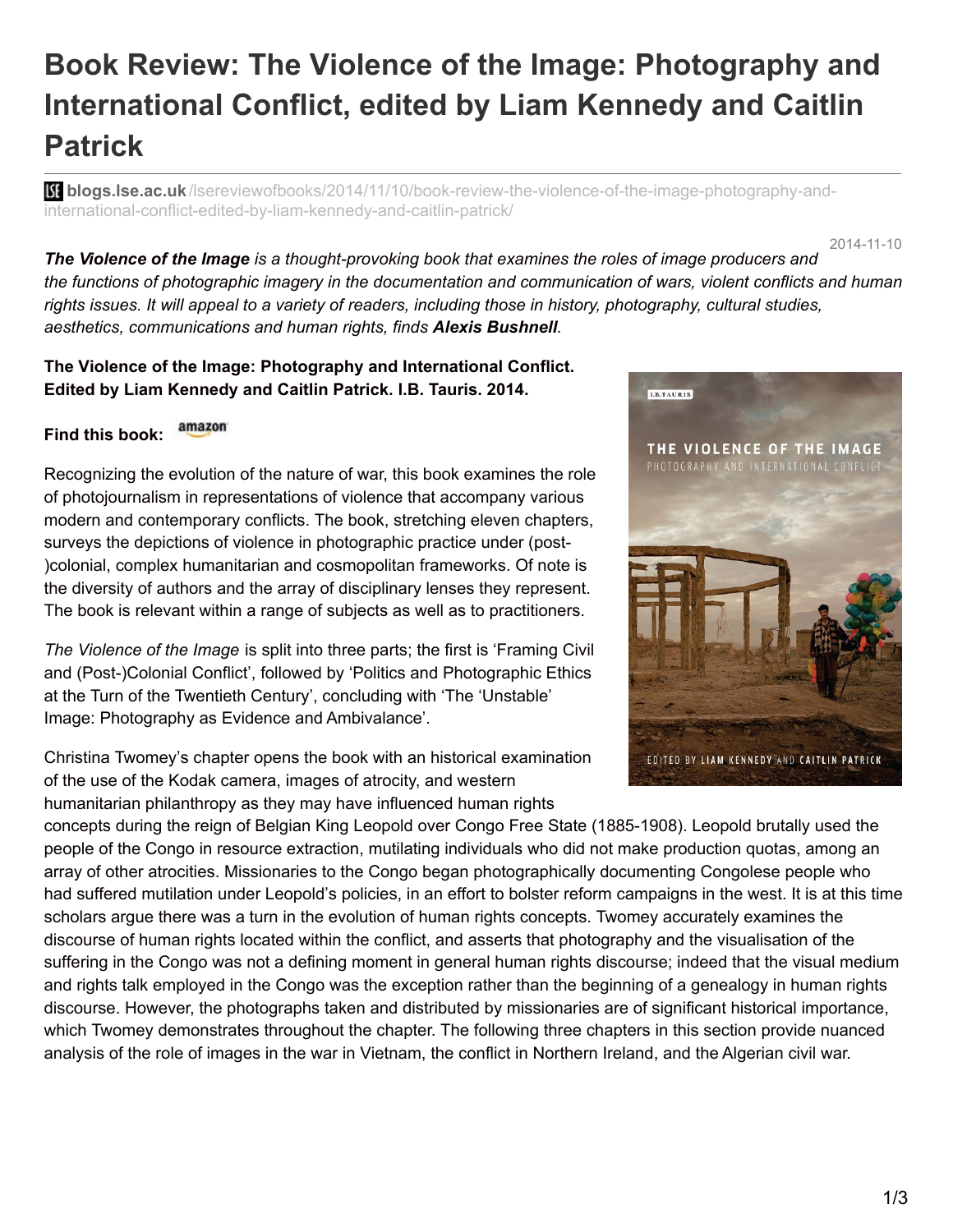## **Book Review: The Violence of the Image: Photography and International Conflict, edited by Liam Kennedy and Caitlin Patrick**

**blogs.lse.ac.uk**[/lsereviewofbooks/2014/11/10/book-review-the-violence-of-the-image-photography-and](http://blogs.lse.ac.uk/lsereviewofbooks/2014/11/10/book-review-the-violence-of-the-image-photography-and-international-conflict-edited-by-liam-kennedy-and-caitlin-patrick/)international-conflict-edited-by-liam-kennedy-and-caitlin-patrick/

2014-11-10

*The Violence of the Image is a thought-provoking book that examines the roles of image producers and* the functions of photographic imagery in the documentation and communication of wars, violent conflicts and human rights issues. It will appeal to a variety of readers, including those in history, photography, cultural studies, *aesthetics, communications and human rights, finds Alexis Bushnell.*

**The Violence of the Image: Photography and International Conflict. Edited by Liam Kennedy and Caitlin Patrick. I.B. Tauris. 2014.**

## amazon **Find this book:**

Recognizing the evolution of the nature of war, this book examines the role of photojournalism in representations of violence that accompany various modern and contemporary conflicts. The book, stretching eleven chapters, surveys the depictions of violence in photographic practice under (post- )colonial, complex humanitarian and cosmopolitan frameworks. Of note is the diversity of authors and the array of disciplinary lenses they represent. The book is relevant within a range of subjects as well as to practitioners.

*The Violence of the Image* is split into three parts; the first is 'Framing Civil and (Post-)Colonial Conflict', followed by 'Politics and Photographic Ethics at the Turn of the Twentieth Century', concluding with 'The 'Unstable' Image: Photography as Evidence and Ambivalance'.

Christina Twomey's chapter opens the book with an historical examination of the use of the Kodak camera, images of atrocity, and western humanitarian philanthropy as they may have influenced human rights



concepts during the reign of Belgian King Leopold over Congo Free State (1885-1908). Leopold brutally used the people of the Congo in resource extraction, mutilating individuals who did not make production quotas, among an array of other atrocities. Missionaries to the Congo began photographically documenting Congolese people who had suffered mutilation under Leopold's policies, in an effort to bolster reform campaigns in the west. It is at this time scholars argue there was a turn in the evolution of human rights concepts. Twomey accurately examines the discourse of human rights located within the conflict, and asserts that photography and the visualisation of the suffering in the Congo was not a defining moment in general human rights discourse; indeed that the visual medium and rights talk employed in the Congo was the exception rather than the beginning of a genealogy in human rights discourse. However, the photographs taken and distributed by missionaries are of significant historical importance, which Twomey demonstrates throughout the chapter. The following three chapters in this section provide nuanced analysis of the role of images in the war in Vietnam, the conflict in Northern Ireland, and the Algerian civil war.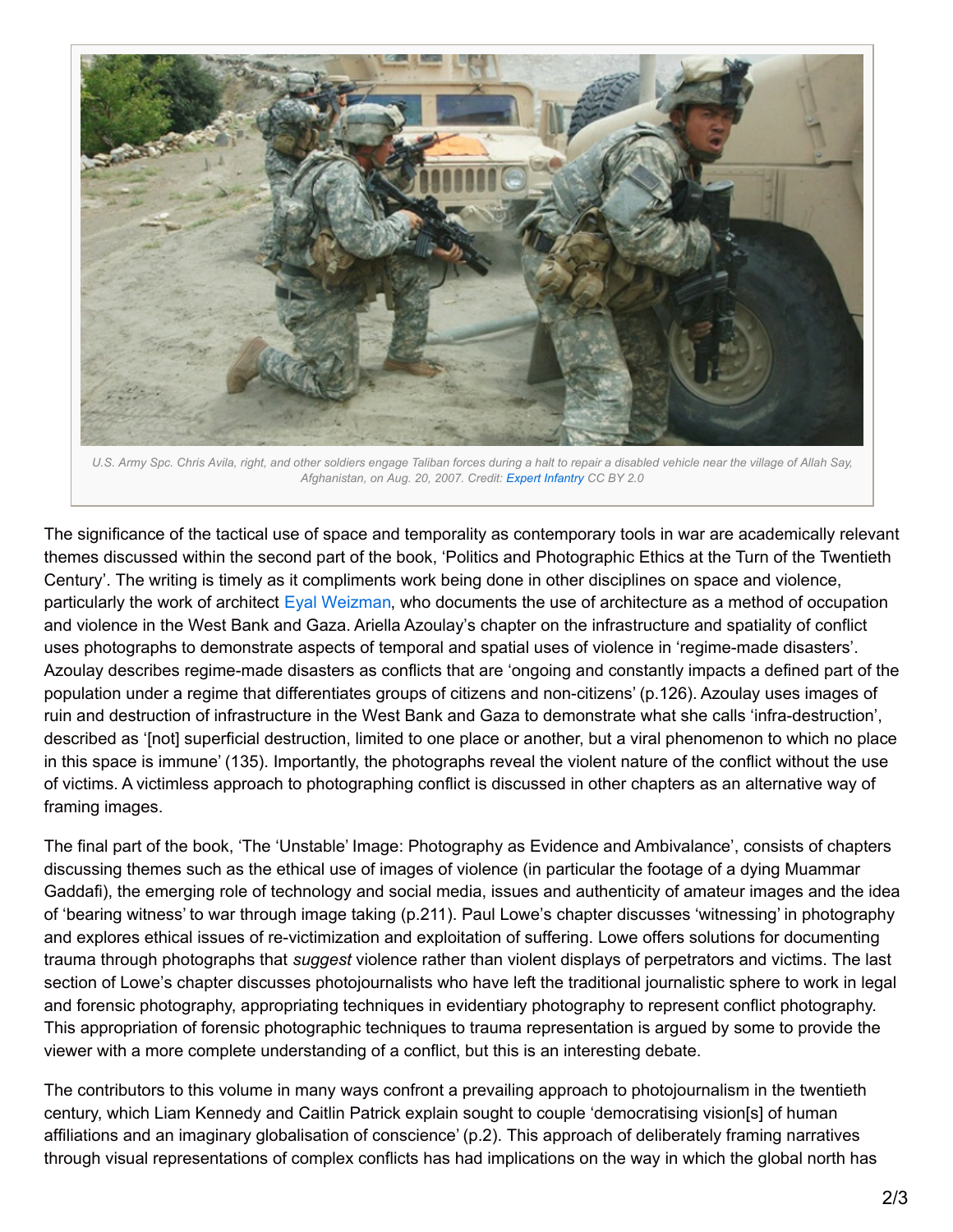

U.S. Army Spc. Chris Avila, right, and other soldiers engage Taliban forces during a halt to repair a disabled vehicle near the village of Allah Say, *Afghanistan, on Aug. 20, 2007. Credit: Expert [Infantry](https://www.flickr.com/photos/expertinfantry/5458640487) CC BY 2.0*

The significance of the tactical use of space and temporality as contemporary tools in war are academically relevant themes discussed within the second part of the book, 'Politics and Photographic Ethics at the Turn of the Twentieth Century'. The writing is timely as it compliments work being done in other disciplines on space and violence, particularly the work of architect Eyal [Weizman](http://www.gold.ac.uk/visual-cultures/w-eizman/), who documents the use of architecture as a method of occupation and violence in the West Bank and Gaza. Ariella Azoulay's chapter on the infrastructure and spatiality of conflict uses photographs to demonstrate aspects of temporal and spatial uses of violence in 'regime-made disasters'. Azoulay describes regime-made disasters as conflicts that are 'ongoing and constantly impacts a defined part of the population under a regime that differentiates groups of citizens and non-citizens' (p.126). Azoulay uses images of ruin and destruction of infrastructure in the West Bank and Gaza to demonstrate what she calls 'infra-destruction', described as '[not] superficial destruction, limited to one place or another, but a viral phenomenon to which no place in this space is immune' (135). Importantly, the photographs reveal the violent nature of the conflict without the use of victims. A victimless approach to photographing conflict is discussed in other chapters as an alternative way of framing images.

The final part of the book, 'The 'Unstable' Image: Photography as Evidence and Ambivalance', consists of chapters discussing themes such as the ethical use of images of violence (in particular the footage of a dying Muammar Gaddafi), the emerging role of technology and social media, issues and authenticity of amateur images and the idea of 'bearing witness' to war through image taking (p.211). Paul Lowe's chapter discusses 'witnessing' in photography and explores ethical issues of re-victimization and exploitation of suffering. Lowe offers solutions for documenting trauma through photographs that *suggest* violence rather than violent displays of perpetrators and victims. The last section of Lowe's chapter discusses photojournalists who have left the traditional journalistic sphere to work in legal and forensic photography, appropriating techniques in evidentiary photography to represent conflict photography. This appropriation of forensic photographic techniques to trauma representation is argued by some to provide the viewer with a more complete understanding of a conflict, but this is an interesting debate.

The contributors to this volume in many ways confront a prevailing approach to photojournalism in the twentieth century, which Liam Kennedy and Caitlin Patrick explain sought to couple 'democratising vision[s] of human affiliations and an imaginary globalisation of conscience' (p.2). This approach of deliberately framing narratives through visual representations of complex conflicts has had implications on the way in which the global north has